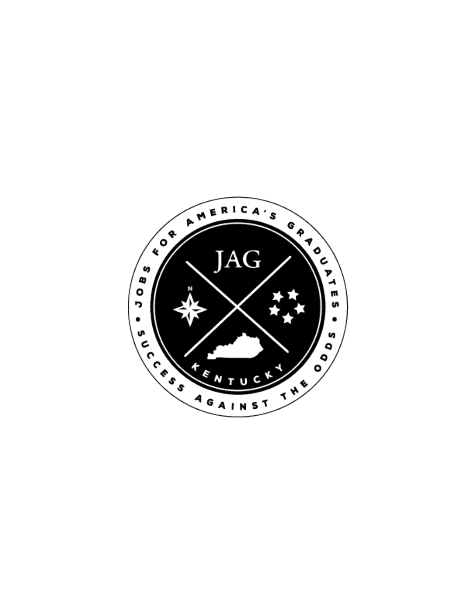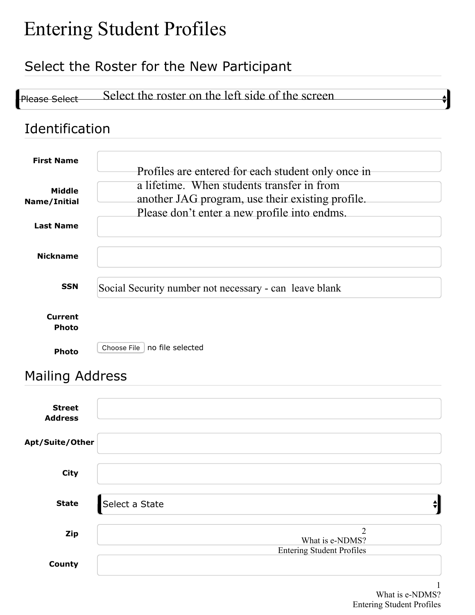# Entering Student Profiles

### Select the Roster for the New Participant

|                                 | Select the Roster for the New Participant              |  |
|---------------------------------|--------------------------------------------------------|--|
| <b>Please Select</b>            | Select the roster on the left side of the screen       |  |
| Identification                  |                                                        |  |
| <b>First Name</b>               | Profiles are entered for each student only once in     |  |
| <b>Middle</b>                   | a lifetime. When students transfer in from             |  |
| Name/Initial                    | another JAG program, use their existing profile.       |  |
| <b>Last Name</b>                | Please don't enter a new profile into endms.           |  |
| <b>Nickname</b>                 |                                                        |  |
| <b>SSN</b>                      | Social Security number not necessary - can leave blank |  |
| <b>Current</b><br><b>Photo</b>  |                                                        |  |
| Photo                           | no file selected<br>Choose File                        |  |
| <b>Mailing Address</b>          |                                                        |  |
| <b>Street</b><br><b>Address</b> |                                                        |  |
| Apt/Suite/Other                 |                                                        |  |
| <b>City</b>                     |                                                        |  |
| <b>State</b>                    | Select a State                                         |  |
| Zip                             | $\overline{2}$<br>What is e-NDMS?                      |  |
| County                          | <b>Entering Student Profiles</b>                       |  |

# Mailing Address

| <b>Street</b><br><b>Address</b> |                                   |  |
|---------------------------------|-----------------------------------|--|
| Apt/Suite/Other                 |                                   |  |
| City                            |                                   |  |
| <b>State</b>                    | Select a State                    |  |
| <b>Zip</b>                      | $\overline{2}$<br>What is e-NDMS? |  |
| County                          | <b>Entering Student Profiles</b>  |  |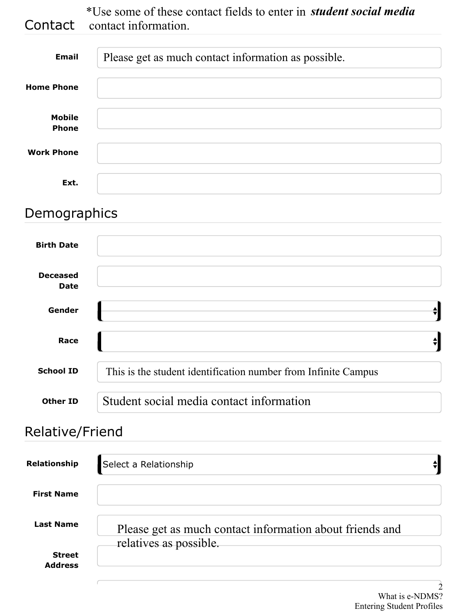**Contact** \*Use some of these contact fields to enter in contact information. *student social media*

| <b>Email</b>                  | Please get as much contact information as possible. |
|-------------------------------|-----------------------------------------------------|
| <b>Home Phone</b>             |                                                     |
| <b>Mobile</b><br><b>Phone</b> |                                                     |
| <b>Work Phone</b>             |                                                     |
| Ext.                          |                                                     |

#### Demographics

| <b>Email</b>                   | Please get as much contact information as possible.            |
|--------------------------------|----------------------------------------------------------------|
| <b>ome Phone</b>               |                                                                |
| <b>Mobile</b><br><b>Phone</b>  |                                                                |
| <b>Nork Phone</b>              |                                                                |
| Ext.                           |                                                                |
| emographics                    |                                                                |
| <b>Birth Date</b>              |                                                                |
| <b>Deceased</b><br><b>Date</b> |                                                                |
| Gender                         | $\stackrel{\blacktriangle}{\blacktriangledown}$                |
| Race                           | $\stackrel{\blacktriangle}{\blacktriangledown}$                |
| <b>School ID</b>               | This is the student identification number from Infinite Campus |
| <b>Other ID</b>                | Student social media contact information                       |

## Relative/Friend

| Relationship                    | Select a Relationship                                                              |
|---------------------------------|------------------------------------------------------------------------------------|
| <b>First Name</b>               |                                                                                    |
| <b>Last Name</b>                | Please get as much contact information about friends and<br>relatives as possible. |
| <b>Street</b><br><b>Address</b> |                                                                                    |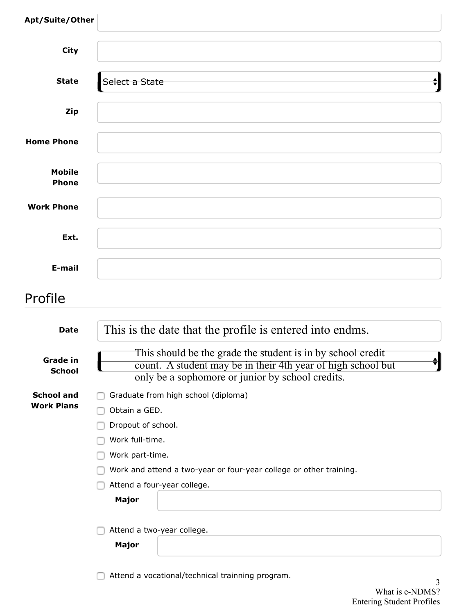| Apt/Suite/Other                        |                                                                                                                                                                                                                                |
|----------------------------------------|--------------------------------------------------------------------------------------------------------------------------------------------------------------------------------------------------------------------------------|
| <b>City</b>                            |                                                                                                                                                                                                                                |
| <b>State</b>                           | Select a State<br>$\overline{\mathbf{t}}$                                                                                                                                                                                      |
| <b>Zip</b>                             |                                                                                                                                                                                                                                |
| <b>Home Phone</b>                      |                                                                                                                                                                                                                                |
| <b>Mobile</b><br><b>Phone</b>          |                                                                                                                                                                                                                                |
| <b>Work Phone</b>                      |                                                                                                                                                                                                                                |
| Ext.                                   |                                                                                                                                                                                                                                |
| E-mail                                 |                                                                                                                                                                                                                                |
| Profile                                |                                                                                                                                                                                                                                |
| <b>Date</b>                            | This is the date that the profile is entered into endms.                                                                                                                                                                       |
| <b>Grade in</b><br><b>School</b>       | This should be the grade the student is in by school credit<br>Î۲<br>count. A student may be in their 4th year of high school but<br>only be a sophomore or junior by school credits.                                          |
| <b>School and</b><br><b>Work Plans</b> | Graduate from high school (diploma)<br>Obtain a GED.<br>Dropout of school.<br>Work full-time.<br>Work part-time.<br>Work and attend a two-year or four-year college or other training.<br>Attend a four-year college.<br>Major |
|                                        | Attend a two-year college.<br>Major                                                                                                                                                                                            |

Attend a vocational/technical trainning program.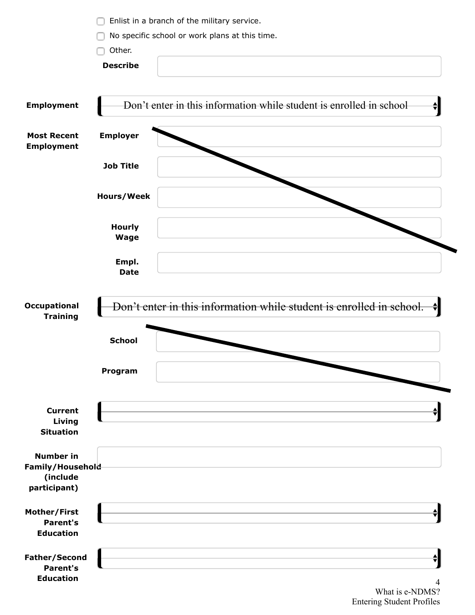|                          |                   | Enlist in a branch of the military service.                            |
|--------------------------|-------------------|------------------------------------------------------------------------|
|                          |                   | No specific school or work plans at this time.                         |
|                          | Other.            |                                                                        |
|                          | <b>Describe</b>   |                                                                        |
|                          |                   |                                                                        |
|                          |                   |                                                                        |
|                          |                   |                                                                        |
| <b>Employment</b>        |                   | Don't enter in this information while student is enrolled in school    |
|                          |                   |                                                                        |
| <b>Most Recent</b>       | <b>Employer</b>   |                                                                        |
| <b>Employment</b>        |                   |                                                                        |
|                          | <b>Job Title</b>  |                                                                        |
|                          |                   |                                                                        |
|                          |                   |                                                                        |
|                          | <b>Hours/Week</b> |                                                                        |
|                          |                   |                                                                        |
|                          | <b>Hourly</b>     |                                                                        |
|                          | <b>Wage</b>       |                                                                        |
|                          |                   |                                                                        |
|                          | Empl.             |                                                                        |
|                          | <b>Date</b>       |                                                                        |
|                          |                   |                                                                        |
| Occupational             |                   |                                                                        |
| <b>Training</b>          |                   | Don't enter in this information while student is enrolled in school. ♦ |
|                          |                   |                                                                        |
|                          | <b>School</b>     |                                                                        |
|                          |                   |                                                                        |
|                          |                   |                                                                        |
|                          | Program           |                                                                        |
|                          |                   |                                                                        |
|                          |                   |                                                                        |
| <b>Current</b><br>Living |                   |                                                                        |
| <b>Situation</b>         |                   |                                                                        |
|                          |                   |                                                                        |
| <b>Number in</b>         |                   |                                                                        |
| Family/Household         |                   |                                                                        |
| (include                 |                   |                                                                        |
| participant)             |                   |                                                                        |
| Mother/First             |                   |                                                                        |
| <b>Parent's</b>          |                   |                                                                        |
| <b>Education</b>         |                   |                                                                        |
|                          |                   |                                                                        |
| <b>Father/Second</b>     |                   |                                                                        |
| <b>Parent's</b>          |                   |                                                                        |
| <b>Education</b>         |                   |                                                                        |

What is e-NDMS? Entering Student Profiles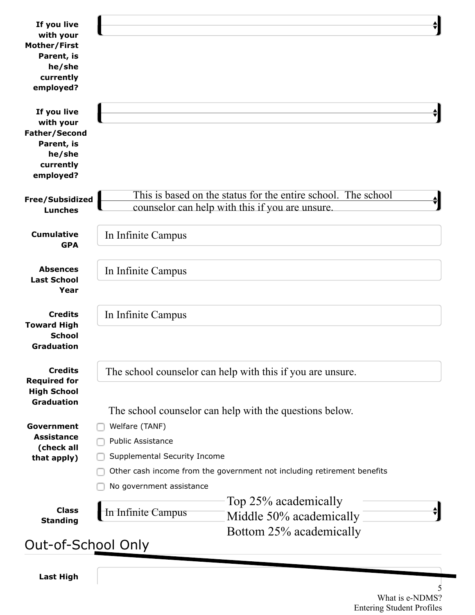| If you live<br>with your<br>Mother/First<br>Parent, is<br>he/she<br>currently<br>employed?         |                                                                                                                                                                                   |
|----------------------------------------------------------------------------------------------------|-----------------------------------------------------------------------------------------------------------------------------------------------------------------------------------|
| If you live<br>with your<br><b>Father/Second</b><br>Parent, is<br>he/she<br>currently<br>employed? | ♦                                                                                                                                                                                 |
| Free/Subsidized<br><b>Lunches</b>                                                                  | This is based on the status for the entire school. The school<br>counselor can help with this if you are unsure.                                                                  |
| <b>Cumulative</b><br><b>GPA</b>                                                                    | In Infinite Campus                                                                                                                                                                |
| <b>Absences</b><br><b>Last School</b><br>Year                                                      | In Infinite Campus                                                                                                                                                                |
| <b>Credits</b><br><b>Toward High</b><br><b>School</b><br><b>Graduation</b>                         | In Infinite Campus                                                                                                                                                                |
| <b>Credits</b><br><b>Required for</b><br><b>High School</b><br><b>Graduation</b>                   | The school counselor can help with this if you are unsure.<br>The school counselor can help with the questions below.                                                             |
| Government<br><b>Assistance</b><br>(check all<br>that apply)                                       | Welfare (TANF)<br><b>Public Assistance</b><br>Supplemental Security Income<br>Other cash income from the government not including retirement benefits<br>No government assistance |
| <b>Class</b><br><b>Standing</b>                                                                    | Top 25% academically<br>In Infinite Campus<br>Middle 50% academically<br>Bottom 25% academically                                                                                  |
| Out-of-School Only                                                                                 |                                                                                                                                                                                   |

**Last High**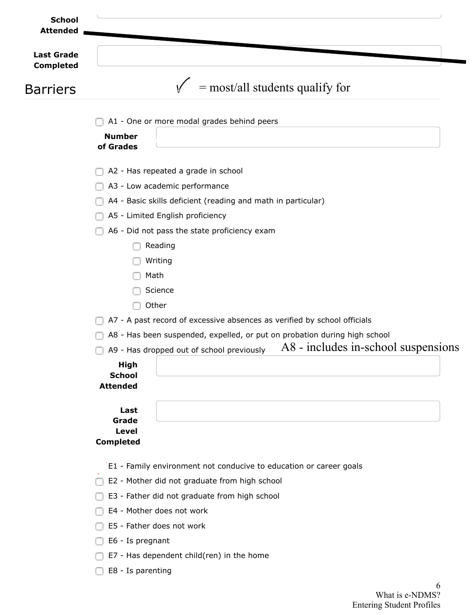| <b>School</b><br><b>Attended</b> |                                                                                  |
|----------------------------------|----------------------------------------------------------------------------------|
| <b>Last Grade</b>                |                                                                                  |
| <b>Completed</b>                 |                                                                                  |
| <b>Barriers</b>                  | $=$ most/all students qualify for                                                |
|                                  | A1 - One or more modal grades behind peers                                       |
|                                  | <b>Number</b><br>of Grades                                                       |
|                                  | A2 - Has repeated a grade in school                                              |
|                                  | A3 - Low academic performance                                                    |
|                                  | A4 - Basic skills deficient (reading and math in particular)                     |
|                                  | A5 - Limited English proficiency                                                 |
|                                  | A6 - Did not pass the state proficiency exam                                     |
|                                  | Reading                                                                          |
|                                  | Writing                                                                          |
|                                  | Math                                                                             |
|                                  | Science                                                                          |
|                                  | Other                                                                            |
|                                  | A7 - A past record of excessive absences as verified by school officials         |
|                                  | A8 - Has been suspended, expelled, or put on probation during high school        |
|                                  | A8 - includes in-school suspensions<br>A9 - Has dropped out of school previously |
|                                  | <b>High</b><br><b>School</b><br><b>Attended</b>                                  |
|                                  | Last<br>Grade<br><b>Level</b><br><b>Completed</b>                                |
|                                  |                                                                                  |
|                                  | E1 - Family environment not conducive to education or career goals               |
|                                  | E2 - Mother did not graduate from high school                                    |
|                                  | E3 - Father did not graduate from high school                                    |
|                                  | E4 - Mother does not work                                                        |
|                                  | E5 - Father does not work                                                        |
|                                  | E6 - Is pregnant                                                                 |

- □ E7 Has dependent child(ren) in the home
- E8 Is parenting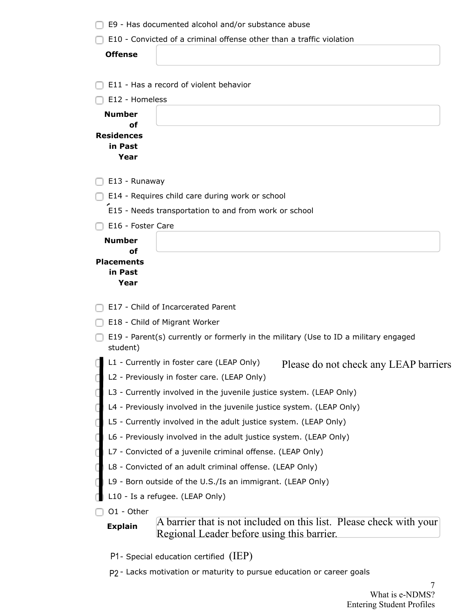| E10 - Convicted of a criminal offense other than a traffic violation                                                                |
|-------------------------------------------------------------------------------------------------------------------------------------|
|                                                                                                                                     |
| <b>Offense</b>                                                                                                                      |
|                                                                                                                                     |
| E11 - Has a record of violent behavior                                                                                              |
| E12 - Homeless                                                                                                                      |
| <b>Number</b>                                                                                                                       |
| of<br><b>Residences</b>                                                                                                             |
| in Past                                                                                                                             |
| Year                                                                                                                                |
| E13 - Runaway                                                                                                                       |
| E14 - Requires child care during work or school                                                                                     |
| E15 - Needs transportation to and from work or school                                                                               |
| E16 - Foster Care                                                                                                                   |
| <b>Number</b>                                                                                                                       |
| οf<br><b>Placements</b>                                                                                                             |
| in Past                                                                                                                             |
| Year                                                                                                                                |
| E17 - Child of Incarcerated Parent                                                                                                  |
| E18 - Child of Migrant Worker                                                                                                       |
| E19 - Parent(s) currently or formerly in the military (Use to ID a military engaged<br>student)                                     |
| L1 - Currently in foster care (LEAP Only)<br>Please do not check any LEAP barriers                                                  |
| L2 - Previously in foster care. (LEAP Only)                                                                                         |
| L3 - Currently involved in the juvenile justice system. (LEAP Only)                                                                 |
| L4 - Previously involved in the juvenile justice system. (LEAP Only)                                                                |
| L5 - Currently involved in the adult justice system. (LEAP Only)                                                                    |
| L6 - Previously involved in the adult justice system. (LEAP Only)                                                                   |
| L7 - Convicted of a juvenile criminal offense. (LEAP Only)                                                                          |
| L8 - Convicted of an adult criminal offense. (LEAP Only)                                                                            |
| L9 - Born outside of the U.S./Is an immigrant. (LEAP Only)                                                                          |
| L10 - Is a refugee. (LEAP Only)                                                                                                     |
| O1 - Other                                                                                                                          |
| A barrier that is not included on this list. Please check with your<br><b>Explain</b><br>Regional Leader before using this barrier. |
| $P1$ - Special education certified (IEP)                                                                                            |
| P <sub>2</sub> - Lacks motivation or maturity to pursue education or career goals                                                   |